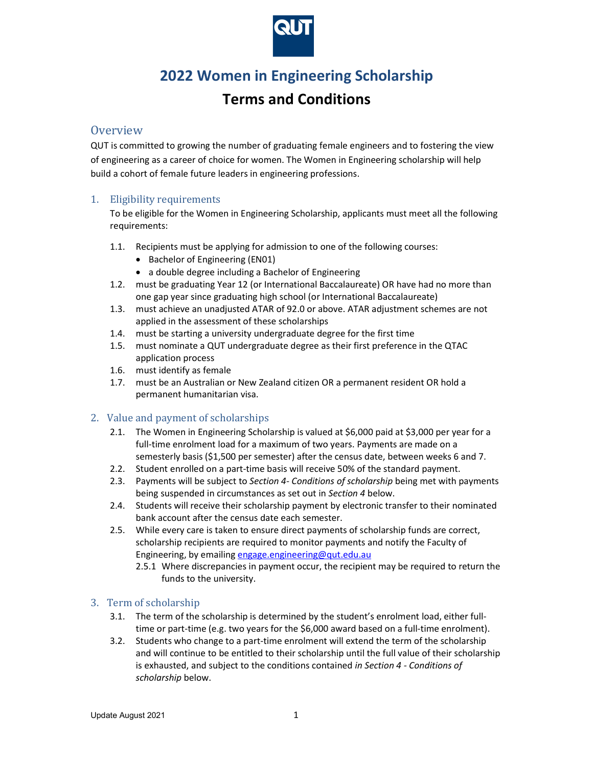

# 2022 Women in Engineering Scholarship

## Terms and Conditions

## **Overview**

QUT is committed to growing the number of graduating female engineers and to fostering the view of engineering as a career of choice for women. The Women in Engineering scholarship will help build a cohort of female future leaders in engineering professions.

## 1. Eligibility requirements

To be eligible for the Women in Engineering Scholarship, applicants must meet all the following requirements:

- 1.1. Recipients must be applying for admission to one of the following courses:
	- Bachelor of Engineering (EN01)
	- a double degree including a Bachelor of Engineering
- 1.2. must be graduating Year 12 (or International Baccalaureate) OR have had no more than one gap year since graduating high school (or International Baccalaureate)
- 1.3. must achieve an unadjusted ATAR of 92.0 or above. ATAR adjustment schemes are not applied in the assessment of these scholarships
- 1.4. must be starting a university undergraduate degree for the first time
- 1.5. must nominate a QUT undergraduate degree as their first preference in the QTAC application process
- 1.6. must identify as female
- 1.7. must be an Australian or New Zealand citizen OR a permanent resident OR hold a permanent humanitarian visa.

### 2. Value and payment of scholarships

- 2.1. The Women in Engineering Scholarship is valued at \$6,000 paid at \$3,000 per year for a full-time enrolment load for a maximum of two years. Payments are made on a semesterly basis (\$1,500 per semester) after the census date, between weeks 6 and 7.
- 2.2. Student enrolled on a part-time basis will receive 50% of the standard payment.
- 2.3. Payments will be subject to Section 4- Conditions of scholarship being met with payments being suspended in circumstances as set out in Section 4 below.
- 2.4. Students will receive their scholarship payment by electronic transfer to their nominated bank account after the census date each semester.
- 2.5. While every care is taken to ensure direct payments of scholarship funds are correct, scholarship recipients are required to monitor payments and notify the Faculty of Engineering, by emailing engage.engineering@qut.edu.au
	- 2.5.1 Where discrepancies in payment occur, the recipient may be required to return the funds to the university.

### 3. Term of scholarship

- 3.1. The term of the scholarship is determined by the student's enrolment load, either fulltime or part-time (e.g. two years for the \$6,000 award based on a full-time enrolment).
- 3.2. Students who change to a part-time enrolment will extend the term of the scholarship and will continue to be entitled to their scholarship until the full value of their scholarship is exhausted, and subject to the conditions contained in Section 4 - Conditions of scholarship below.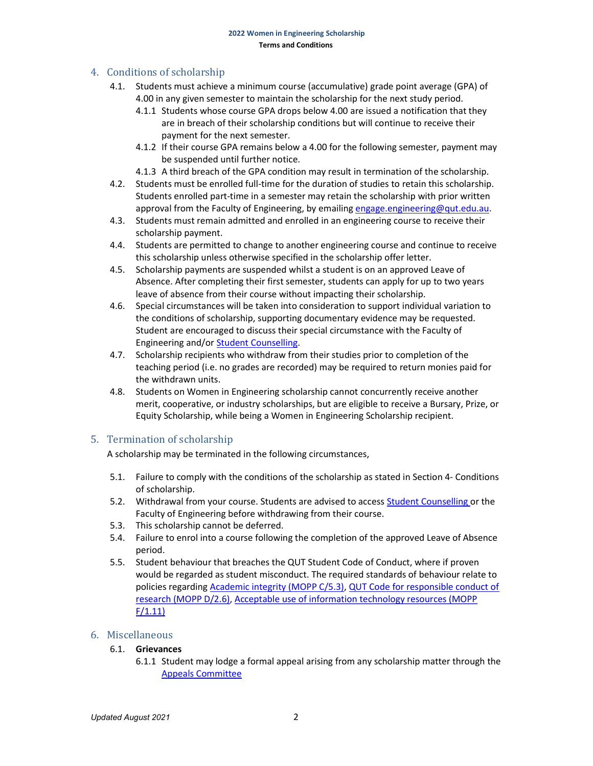## 4. Conditions of scholarship

- 4.1. Students must achieve a minimum course (accumulative) grade point average (GPA) of 4.00 in any given semester to maintain the scholarship for the next study period.
	- 4.1.1 Students whose course GPA drops below 4.00 are issued a notification that they are in breach of their scholarship conditions but will continue to receive their payment for the next semester.
	- 4.1.2 If their course GPA remains below a 4.00 for the following semester, payment may be suspended until further notice.
	- 4.1.3 A third breach of the GPA condition may result in termination of the scholarship.
- 4.2. Students must be enrolled full-time for the duration of studies to retain this scholarship. Students enrolled part-time in a semester may retain the scholarship with prior written approval from the Faculty of Engineering, by emailing engage.engineering@qut.edu.au.
- 4.3. Students must remain admitted and enrolled in an engineering course to receive their scholarship payment.
- 4.4. Students are permitted to change to another engineering course and continue to receive this scholarship unless otherwise specified in the scholarship offer letter.
- 4.5. Scholarship payments are suspended whilst a student is on an approved Leave of Absence. After completing their first semester, students can apply for up to two years leave of absence from their course without impacting their scholarship.
- 4.6. Special circumstances will be taken into consideration to support individual variation to the conditions of scholarship, supporting documentary evidence may be requested. Student are encouraged to discuss their special circumstance with the Faculty of Engineering and/or Student Counselling.
- 4.7. Scholarship recipients who withdraw from their studies prior to completion of the teaching period (i.e. no grades are recorded) may be required to return monies paid for the withdrawn units.
- 4.8. Students on Women in Engineering scholarship cannot concurrently receive another merit, cooperative, or industry scholarships, but are eligible to receive a Bursary, Prize, or Equity Scholarship, while being a Women in Engineering Scholarship recipient.

### 5. Termination of scholarship

A scholarship may be terminated in the following circumstances,

- 5.1. Failure to comply with the conditions of the scholarship as stated in Section 4- Conditions of scholarship.
- 5.2. Withdrawal from your course. Students are advised to access **Student Counselling** or the Faculty of Engineering before withdrawing from their course.
- 5.3. This scholarship cannot be deferred.
- 5.4. Failure to enrol into a course following the completion of the approved Leave of Absence period.
- 5.5. Student behaviour that breaches the QUT Student Code of Conduct, where if proven would be regarded as student misconduct. The required standards of behaviour relate to policies regarding Academic integrity (MOPP C/5.3), QUT Code for responsible conduct of research (MOPP D/2.6), Acceptable use of information technology resources (MOPP F/1.11)

### 6. Miscellaneous

#### 6.1. Grievances

6.1.1 Student may lodge a formal appeal arising from any scholarship matter through the Appeals Committee